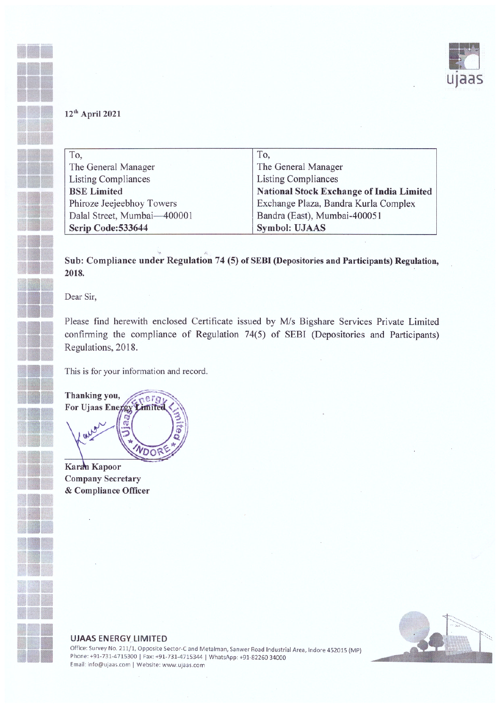

## $12<sup>th</sup>$  April 2021

•• •• •••

•

| To,                         | To,                                             |
|-----------------------------|-------------------------------------------------|
| The General Manager         | The General Manager                             |
| <b>Listing Compliances</b>  | <b>Listing Compliances</b>                      |
| <b>BSE</b> Limited          | <b>National Stock Exchange of India Limited</b> |
| Phiroze Jeejeebhoy Towers   | Exchange Plaza, Bandra Kurla Complex            |
| Dalal Street, Mumbai-400001 | Bandra (East), Mumbai-400051                    |
| Scrip Code: 533644          | <b>Symbol: UJAAS</b>                            |

Sub: Compliance under Regulation 74 (5) of SEBI (Depositories and Participants) Regulation,  $2018.$ 

Dear Sir,

Please find herewith enclosed Certificate issued by M/s Bigshare Services Private Limited confirming the compliance of Regulation 74(5) of SEBI (Depositories and Participants) Regulations, 2018.

This is for your information and record.

Thanking you, nergi For Ujaas Energy **Limited** WDOR

Karan Kapoor Company Secretary & Compliance Officer



## UJAAS ENERGY LIMITED

Office: Survey No. 211/1, Opposite Sector-C and Metalman, Sanwer Road Industrial Area, Indore <sup>452015</sup> (MP) Phone: +91-731-4715300 | Fax: +91-731-4715344 | WhatsApp: +91-82260 34000 Email: info@ujaas.com I Website: www.ujaas.com